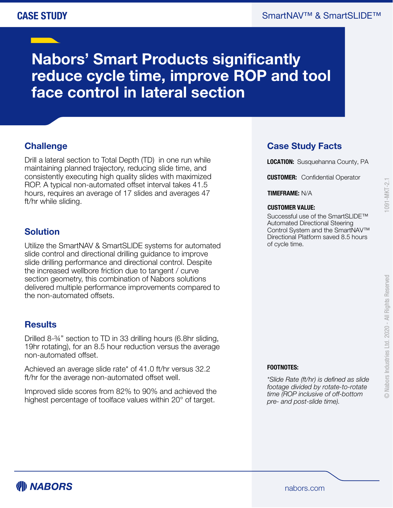# **Nabors' Smart Products significantly reduce cycle time, improve ROP and tool face control in lateral section**

## **Challenge**

Drill a lateral section to Total Depth (TD) in one run while maintaining planned trajectory, reducing slide time, and consistently executing high quality slides with maximized ROP. A typical non-automated offset interval takes 41.5 hours, requires an average of 17 slides and averages 47 ft/hr while sliding.

#### **Solution**

Utilize the SmartNAV & SmartSLIDE systems for automated slide control and directional drilling guidance to improve slide drilling performance and directional control. Despite the increased wellbore friction due to tangent / curve section geometry, this combination of Nabors solutions delivered multiple performance improvements compared to the non-automated offsets.

#### **Results**

Drilled 8-¾" section to TD in 33 drilling hours (6.8hr sliding, 19hr rotating), for an 8.5 hour reduction versus the average non-automated offset.

Achieved an average slide rate\* of 41.0 ft/hr versus 32.2 ft/hr for the average non-automated offset well.

Improved slide scores from 82% to 90% and achieved the highest percentage of toolface values within 20° of target.

### **Case Study Facts**

**LOCATION:** Susquehanna County, PA

**CUSTOMER:** Confidential Operator

**TIMEFRAME:** N/A

#### **CUSTOMER VALUE:**

Successful use of the SmartSLIDE<sup>™</sup> Automated Directional Steering Control System and the SmartNAV™ Directional Platform saved 8.5 hours of cycle time.

 $091 - MKT - 2.1$ 

#### **FOOTNOTES:**

*\*Slide Rate (ft/hr) is defined as slide footage divided by rotate-to-rotate time (ROP inclusive of off-bottom pre- and post-slide time).*